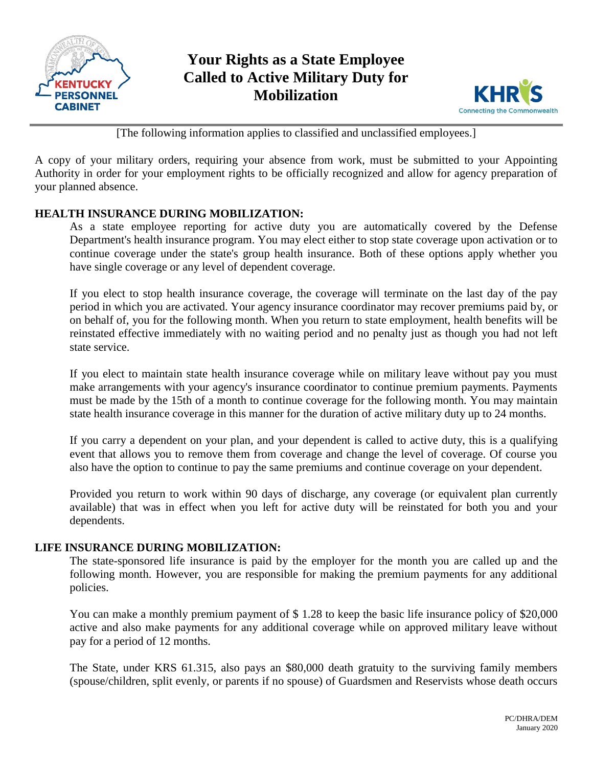

# **Your Rights as a State Employee Called to Active Military Duty for Mobilization**



[The following information applies to classified and unclassified employees.]

A copy of your military orders, requiring your absence from work, must be submitted to your Appointing Authority in order for your employment rights to be officially recognized and allow for agency preparation of your planned absence.

# **HEALTH INSURANCE DURING MOBILIZATION:**

As a state employee reporting for active duty you are automatically covered by the Defense Department's health insurance program. You may elect either to stop state coverage upon activation or to continue coverage under the state's group health insurance. Both of these options apply whether you have single coverage or any level of dependent coverage.

If you elect to stop health insurance coverage, the coverage will terminate on the last day of the pay period in which you are activated. Your agency insurance coordinator may recover premiums paid by, or on behalf of, you for the following month. When you return to state employment, health benefits will be reinstated effective immediately with no waiting period and no penalty just as though you had not left state service.

If you elect to maintain state health insurance coverage while on military leave without pay you must make arrangements with your agency's insurance coordinator to continue premium payments. Payments must be made by the 15th of a month to continue coverage for the following month. You may maintain state health insurance coverage in this manner for the duration of active military duty up to 24 months.

If you carry a dependent on your plan, and your dependent is called to active duty, this is a qualifying event that allows you to remove them from coverage and change the level of coverage. Of course you also have the option to continue to pay the same premiums and continue coverage on your dependent.

Provided you return to work within 90 days of discharge, any coverage (or equivalent plan currently available) that was in effect when you left for active duty will be reinstated for both you and your dependents.

### **LIFE INSURANCE DURING MOBILIZATION:**

The state-sponsored life insurance is paid by the employer for the month you are called up and the following month. However, you are responsible for making the premium payments for any additional policies.

You can make a monthly premium payment of \$ 1.28 to keep the basic life insurance policy of \$20,000 active and also make payments for any additional coverage while on approved military leave without pay for a period of 12 months.

The State, under KRS 61.315, also pays an \$80,000 death gratuity to the surviving family members (spouse/children, split evenly, or parents if no spouse) of Guardsmen and Reservists whose death occurs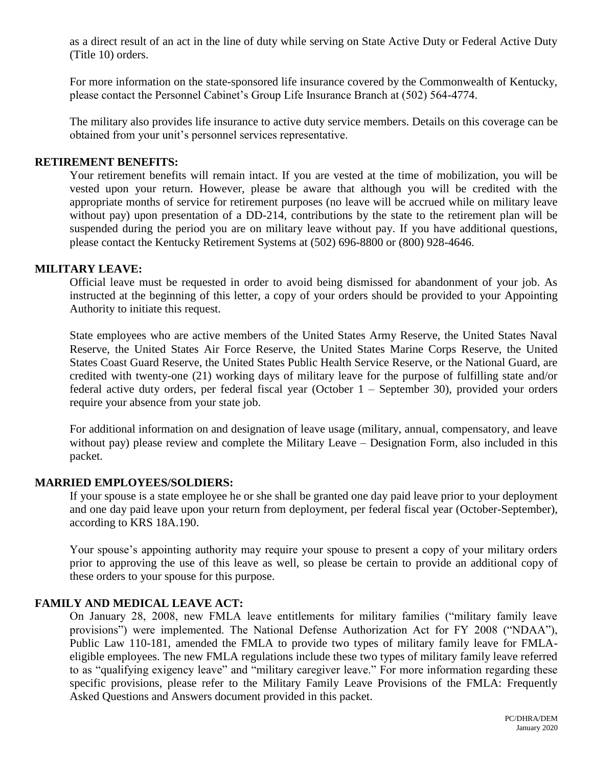as a direct result of an act in the line of duty while serving on State Active Duty or Federal Active Duty (Title 10) orders.

For more information on the state-sponsored life insurance covered by the Commonwealth of Kentucky, please contact the Personnel Cabinet's Group Life Insurance Branch at (502) 564-4774.

The military also provides life insurance to active duty service members. Details on this coverage can be obtained from your unit's personnel services representative.

#### **RETIREMENT BENEFITS:**

Your retirement benefits will remain intact. If you are vested at the time of mobilization, you will be vested upon your return. However, please be aware that although you will be credited with the appropriate months of service for retirement purposes (no leave will be accrued while on military leave without pay) upon presentation of a DD-214, contributions by the state to the retirement plan will be suspended during the period you are on military leave without pay. If you have additional questions, please contact the Kentucky Retirement Systems at (502) 696-8800 or (800) 928-4646.

#### **MILITARY LEAVE:**

Official leave must be requested in order to avoid being dismissed for abandonment of your job. As instructed at the beginning of this letter, a copy of your orders should be provided to your Appointing Authority to initiate this request.

State employees who are active members of the United States Army Reserve, the United States Naval Reserve, the United States Air Force Reserve, the United States Marine Corps Reserve, the United States Coast Guard Reserve, the United States Public Health Service Reserve, or the National Guard, are credited with twenty-one (21) working days of military leave for the purpose of fulfilling state and/or federal active duty orders, per federal fiscal year (October 1 – September 30), provided your orders require your absence from your state job.

For additional information on and designation of leave usage (military, annual, compensatory, and leave without pay) please review and complete the Military Leave – Designation Form, also included in this packet.

#### **MARRIED EMPLOYEES/SOLDIERS:**

If your spouse is a state employee he or she shall be granted one day paid leave prior to your deployment and one day paid leave upon your return from deployment, per federal fiscal year (October-September), according to KRS 18A.190.

Your spouse's appointing authority may require your spouse to present a copy of your military orders prior to approving the use of this leave as well, so please be certain to provide an additional copy of these orders to your spouse for this purpose.

#### **FAMILY AND MEDICAL LEAVE ACT:**

On January 28, 2008, new FMLA leave entitlements for military families ("military family leave provisions") were implemented. The National Defense Authorization Act for FY 2008 ("NDAA"), Public Law 110-181, amended the FMLA to provide two types of military family leave for FMLAeligible employees. The new FMLA regulations include these two types of military family leave referred to as "qualifying exigency leave" and "military caregiver leave." For more information regarding these specific provisions, please refer to the Military Family Leave Provisions of the FMLA: Frequently Asked Questions and Answers document provided in this packet.